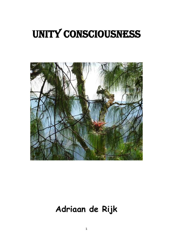# Unity consciousness



## **Adriaan de Rijk**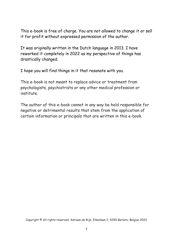This e-book is free of charge. You are not allowed to change it or sell it for profit without expressed permission of the author.

It was originally written in the Dutch language in 2013. I have reworked it completely in 2022 as my perspective of things has drastically changed.

I hope you will find things in it that resonate with you.

This e-book is not meant to replace advice or treatment from psychologists, psychiatrists or any other medical profession or institute.

The author of this e-book cannot in any way be held responsible for negative or detrimental results that stem from the application of certain information or principals that are written in this e-book.

Copyright © All rights reserved; Adriaan de Rijk, Eikenlaan 2, 9290 Berlare, Belgian 2022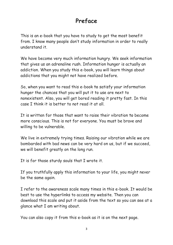## **Preface**

This is an e-book that you have to study to get the most benefit from. I know many people don't study information in order to really understand it.

We have become very much information hungry. We seek information that gives us an adrenaline rush. Information hunger is actually an addiction. When you study this e-book, you will learn things about addictions that you might not have realized before.

So, when you want to read this e-book to satisfy your information hunger the chances that you will put it to use are next to nonexistent. Also, you will get bored reading it pretty fast. In this case I think it is better to not read it at all.

It is written for those that want to raise their vibration to become more conscious. This is not for everyone. You must be brave and willing to be vulnerable.

We live in extremely trying times. Raising our vibration while we are bombarded with bad news can be very hard on us, but if we succeed, we will benefit greatly on the long run.

It is for those sturdy souls that I wrote it.

If you truthfully apply this information to your life, you might never be the same again.

I refer to the awareness scale many times in this e-book. It would be best to use the hyperlinks to access my website. Then you can download this scale and put it aside from the text so you can see at a glance what I am writing about.

You can also copy it from this e-book as it is on the next page.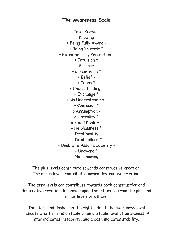#### **The Awareness Scale**

Total Knowing Knowing + Being Fully Aware - + Being Yourself \* + Extra Sensory Perception - + Intuition \* + Purpose - + Competence \* + Belief - + Ideas \* + Understanding - + Exchange \* + No Understanding - + Confusion \* o Assumption o Unreality \* o Fixed Reality - - Helplessness \* - Irrationality - - Total Failure \* - Unable to Assume Identity - - Unaware \* Not Knowing

The plus levels contribute towards constructive creation. The minus levels contribute toward destructive creation.

The zero levels can contribute towards both constructive and destructive creation depending upon the influence from the plus and minus levels of others.

The stars and dashes on the right side of the awareness level indicate whether it is a stable or an unstable level of awareness. A star indicates instability, and a dash indicates stability.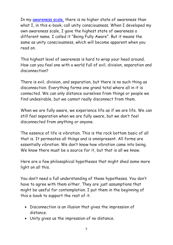In my [awareness scale,](https://vitalinformationsources.com/wp-content/uploads/2020/12/The-Awareness-Scale.pdf) there is no higher state of awareness than what I, in this e-book, call unity consciousness. When I developed my own awareness scale, I gave the highest state of awareness a different name. I called it "Being Fully Aware". But it means the same as unity consciousness, which will become apparent when you read on.

This highest level of awareness is hard to wrap your head around. How can you feel one with a world full of evil, division, separation and disconnection?

There is evil, division, and separation, but there is no such thing as disconnection. Everything forms one grand total where all in it is connected. We can only distance ourselves from things or people we find undesirable, but we cannot really disconnect from them.

When we are fully aware, we experience life as if we are life. We can still feel separation when we are fully aware, but we don't feel disconnected from anything or anyone.

The essence of life is vibration. This is the rock bottom basic of all that is. It permeates all things and is omnipresent. All forms are essentially vibration. We don't know how vibration came into being. We know there must be a source for it, but that is all we know.

Here are a few philosophical hypotheses that might shed some more light on all this.

You don't need a full understanding of these hypotheses. You don't have to agree with them either. They are just assumptions that might be useful for contemplation. I put them in the beginning of this e-book to support the rest of it.

- Disconnection is an illusion that gives the impression of distance.
- Unity gives us the impression of no distance.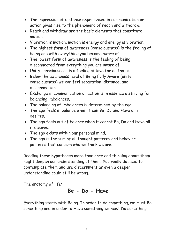- The impression of distance experienced in communication or action gives rise to the phenomena of reach and withdraw.
- Reach and withdraw are the basic elements that constitute motion.
- Vibration is motion, motion is energy and energy is vibration.
- The highest form of awareness (consciousness) is the feeling of being one with everything you become aware of.
- The lowest form of awareness is the feeling of being disconnected from everything you are aware of.
- Unity consciousness is a feeling of love for all that is.
- Below the awareness level of Being Fully Aware (unity consciousness) we can feel separation, distance, and disconnection.
- Exchange in communication or action is in essence a striving for balancing imbalances.
- The balancing of imbalances is determined by the ego.
- The ego feels in balance when it can Be, Do and Have all it desires.
- The ego feels out of balance when it cannot Be, Do and Have all it desires.
- The ego exists within our personal mind.
- The ego is the sum of all thought patterns and behavior patterns that concern who we think we are.

Reading these hypotheses more than once and thinking about them might deepen our understanding of them. You really do need to contemplate them and use discernment as even a deeper understanding could still be wrong.

The anatomy of life:

## **Be - Do - Have**

Everything starts with Being. In order to do something, we must Be something and in order to Have something we must Do something.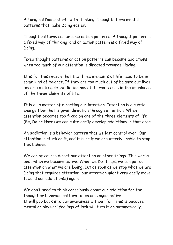All original Doing starts with thinking. Thoughts form mental patterns that make Doing easier.

Thought patterns can become action patterns. A thought pattern is a fixed way of thinking, and an action pattern is a fixed way of Doing.

Fixed thought patterns or action patterns can become addictions when too much of our attention is directed towards Having.

It is for this reason that the three elements of life need to be in some kind of balance. If they are too much out of balance our lives become a struggle. Addiction has at its root cause in the imbalance of the three elements of life.

It is all a matter of directing our intention. Intention is a subtle energy flow that is given direction through attention. When attention becomes too fixed on one of the three elements of life (Be, Do or Have) we can quite easily develop addictions in that area.

An addiction is a behavior pattern that we lost control over. Our attention is stuck on it, and it is as if we are utterly unable to stop this behavior.

We can of course direct our attention on other things. This works best when we become active. When we Do things, we can put our attention on what we are Doing, but as soon as we stop what we are Doing that requires attention, our attention might very easily move toward our addiction(s) again.

We don't need to think consciously about our addiction for the thought or behavior pattern to become again active. It will pop back into our awareness without fail. This is because mental or physical feelings of lack will turn it on automatically.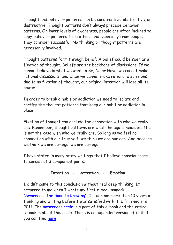Thought and behavior patterns can be constructive, obstructive, or destructive. Thought patterns don't always precede behavior patterns. On lower levels of awareness, people are often inclined to copy behavior patterns from others and especially from people they consider successful. No thinking or thought patterns are necessarily involved.

Thought patterns form through belief. A belief could be seen as a fixation of thought. Beliefs are the backbone of discissions. If we cannot believe in what we want to Be, Do or Have, we cannot make rational discissions, and when we cannot make rational discissions, due to no fixation of thought, our original intention will lose all its power.

In order to break a habit or addiction we need to isolate and rectify the thought patterns that keep our habit or addiction in place.

Fixation of thought can occlude the connection with who we really are. Remember, thought patterns are what the ego is made of. This is not the case with who we really are. So long as we feel no connection with our true self, we think we are our ego. And because we think we are our ego, we are our ego.

I have stated in many of my writings that I believe consciousness to consist of 3 component parts:

#### **Intention - Attention - Emotion**

I didn't come to this conclusion without real deep thinking. It occurred to me when I wrote my first e-book named: ["Awareness the Road to Knowing"](https://vitalinformationsources.com/wp-content/uploads/2019/07/Awareness-The-Road-To-Knowing.pdf). It took me more than 10 years of thinking and writing before I was satisfied with it. I finished it in 2011. The **[awareness scale](https://vitalinformationsources.com/wp-content/uploads/2020/12/The-Awareness-Scale.pdf)** is a part of this e-book and the entire e-book is about this scale. There is an expanded version of it that you can find [here.](https://vitalinformationsources.com/wp-content/uploads/2019/07/Expanded-Awareness-Scale.pdf)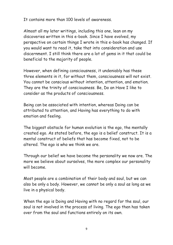It contains more than 100 levels of awareness.

Almost all my later writings, including this one, lean on my discoveries written in this e-book. Since I have evolved, my perspective on certain things I wrote in this e-book has changed. If you would want to read it, take that into consideration and use discernment. I still think there are a lot of gems in it that could be beneficial to the majority of people.

However, when defining consciousness, it undeniably has these three elements in it, for without them, consciousness will not exist. You cannot be conscious without intention, attention, and emotion. They are the trinity of consciousness. Be, Do an Have I like to consider as the products of consciousness.

Being can be associated with intention, whereas Doing can be attributed to attention, and Having has everything to do with emotion and feeling.

The biggest obstacle for human evolution is the ego, the mentally created ego. As stated before, the ego is a belief construct. It is a mental construct of beliefs that has become fixed, not to be altered. The ego is who we think we are.

Through our belief we have become the personality we now are. The more we believe about ourselves, the more complex our personality will become.

Most people are a combination of their body and soul, but we can also be only a body. However, we cannot be only a soul as long as we live in a physical body.

When the ego is Doing and Having with no regard for the soul, our soul is not involved in the process of living. The ego then has taken over from the soul and functions entirely on its own.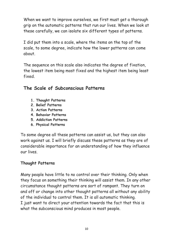When we want to improve ourselves, we first must get a thorough grip on the automatic patterns that run our lives. When we look at these carefully, we can isolate six different types of patterns.

I did put them into a scale, where the items on the top of the scale, to some degree, indicate how the lower patterns can come about.

The sequence on this scale also indicates the degree of fixation, the lowest item being most fixed and the highest item being least fixed.

### **The Scale of Subconscious Patterns**

- **1. Thought Patterns**
- **2. Belief Patterns**
- **3. Action Patterns**
- **4. Behavior Patterns**
- **5. Addiction Patterns**
- **6. Physical Patterns**

To some degree all these patterns can assist us, but they can also work against us. I will briefly discuss these patterns as they are of considerable importance for an understanding of how they influence our lives.

#### **Thought Patterns**

Many people have little to no control over their thinking. Only when they focus on something their thinking will assist them. In any other circumstance thought patterns are sort of rampant. They turn on and off or change into other thought patterns all without any ability of the individual to control them. It is all automatic thinking. I just want to direct your attention towards the fact that this is what the subconscious mind produces in most people.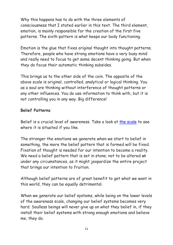Why this happens has to do with the three elements of consciousness that I stated earlier in this text. The third element, emotion, is mainly responsible for the creation of the first five patterns. The sixth pattern is what keeps our body functioning.

Emotion is the glue that fixes original thought into thought patterns. Therefore, people who have strong emotions have a very busy mind and really need to focus to get some decent thinking going. But when they do focus their automatic thinking subsides.

This brings us to the other side of the coin. The opposite of the above scale is original, controlled, analytical or logical thinking. You as a soul are thinking without interference of thought patterns or any other influences. You do use information to think with, but it is not controlling you in any way. Big difference!

#### **Belief Patterns**

Belief is a crucial level of awareness. Take a look at [the scale](https://vitalinformationsources.com/wp-content/uploads/2020/12/The-Awareness-Scale.pdf) to see where it is situated if you like.

The stronger the emotions we generate when we start to belief in something, the more the belief pattern that is formed will be fixed. Fixation of thought is needed for our intention to become a reality. We need a belief pattern that is set in stone; not to be altered at under any circumstances, as it might jeopardize the entire project that brings our intention to fruition.

Although belief patterns are of great benefit to get what we want in this world, they can be equally detrimental.

When we generate our belief systems, while being on the lower levels of the awareness scale, changing our belief systems becomes very hard. Soulless beings will never give up on what they belief in, if they install their belief systems with strong enough emotions and believe me, they do.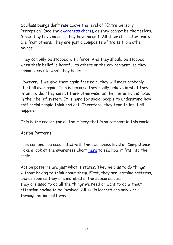Soulless beings don't rise above the level of "Extra Sensory Perception" (see the [awareness chart\)](https://vitalinformationsources.com/wp-content/uploads/2020/12/The-Awareness-Scale.pdf), as they cannot be themselves. Since they have no soul, they have no self. All their character traits are from others. They are just a composite of traits from other beings.

They can only be stopped with force. And they should be stopped when their belief is harmful to others or the environment, so they cannot execute what they belief in.

However, if we give them again free rein, they will most probably start all over again. This is because they really believe in what they intent to do. They cannot think otherwise, as their intention is fixed in their belief system. It is hard for social people to understand how anti-social people think and act. Therefore, they tend to let it all happen.

This is the reason for all the misery that is so rampant in this world.

#### **Action Patterns**

This can best be associated with the awareness level of Competence. Take a look at the awareness chart [here](https://vitalinformationsources.com/wp-content/uploads/2020/12/The-Awareness-Scale.pdf) to see how it fits into the scale.

Action patterns are just what it states. They help us to do things without having to think about them. First, they are learning patterns, and as soon as they are installed in the subconscious, they are used to do all the things we need or want to do without attention having to be involved. All skills learned can only work through action patterns.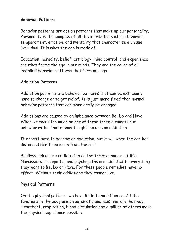#### **Behavior Patterns**

Behavior patterns are action patterns that make up our personality. Personality is the complex of all the attributes such as: behavior, temperament, emotion, and mentality that characterize a unique individual. It is what the ego is made of.

Education, heredity, belief, astrology, mind control, and experience are what forms the ego in our minds. They are the cause of all installed behavior patterns that form our ego.

#### **Addiction Patterns**

Addiction patterns are behavior patterns that can be extremely hard to change or to get rid of. It is just more fixed than normal behavior patterns that can more easily be changed.

Addictions are caused by an imbalance between Be, Do and Have. When we focus too much on one of these three elements our behavior within that element might become an addiction.

It doesn't have to become an addiction, but it will when the ego has distanced itself too much from the soul.

Soulless beings are addicted to all the three elements of life. Narcissists, sociopaths, and psychopaths are addicted to everything they want to Be, Do or Have. For these people remedies have no effect. Without their addictions they cannot live.

#### **Physical Patterns**

On the physical patterns we have little to no influence. All the functions in the body are on automatic and must remain that way. Heartbeat, respiration, blood circulation and a million of others make the physical experience possible.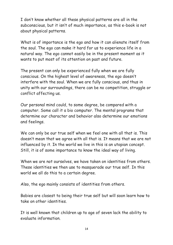I don't know whether all these physical patterns are all in the subconscious, but it isn't of much importance, as this e-book is not about physical patterns.

What is of importance is the ego and how it can alienate itself from the soul. The ego can make it hard for us to experience life in a natural way. The ego cannot easily be in the present moment as it wants to put most of its attention on past and future.

The present can only be experienced fully when we are fully conscious. On the highest level of awareness, the ego doesn't interfere with the soul. When we are fully conscious, and thus in unity with our surroundings, there can be no competition, struggle or conflict affecting us.

Our personal mind could, to some degree, be compared with a computer. Some call it a bio computer. The mental programs that determine our character and behavior also determine our emotions and feelings.

We can only be our true self when we feel one with all that is. This doesn't mean that we agree with all that is. It means that we are not influenced by it. In the world we live in this is an utopian concept. Still, it is of some importance to know the ideal way of living.

When we are not ourselves, we have taken on identities from others. These identities we then use to masquerade our true self. In this world we all do this to a certain degree.

Also, the ego mainly consists of identities from others.

Babies are closest to being their true self but will soon learn how to take on other identities.

It is well known that children up to age of seven lack the ability to evaluate information.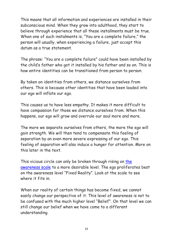This means that all information and experiences are installed in their subconscious mind. When they grow into adulthood, they start to believe through experience that all these installments must be true. When one of such instalments is, "You are a complete failure," the person will usually, when experiencing a failure, just accept this datum as a true statement.

The phrase: "You are a complete failure" could have been installed by the child's father who got it installed by his father and so on. This is how entire identities can be transitioned from person to person.

By taken on identities from others, we distance ourselves from others. This is because other identities that have been loaded into our ego will inflate our ego.

This causes us to have less empathy. It makes it more difficult to have compassion for those we distance ourselves from. When this happens, our ego will grow and overrule our soul more and more.

The more we separate ourselves from others, the more the ego will gain strength. We will then tend to compensate this feeling of separation by an even more severe expressing of our ego. This feeling of separation will also induce a hunger for attention. More on this later in the text.

This vicious circle can only be broken through rising on [the](https://vitalinformationsources.com/wp-content/uploads/2020/12/The-Awareness-Scale.pdf)  [awareness scale](https://vitalinformationsources.com/wp-content/uploads/2020/12/The-Awareness-Scale.pdf) to a more desirable level. The ego proliferates best on the awareness level "Fixed Reality". Look at the scale to see where it fits in

When our reality of certain things has become fixed, we cannot easily change our perspective of it. This level of awareness is not to be confused with the much higher level "Belief". On that level we can still change our belief when we have come to a different understanding.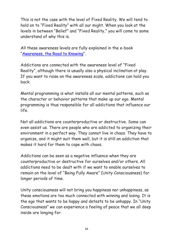This is not the case with the level of Fixed Reality. We will tend to hold on to "Fixed Reality" with all our might. When you look at the levels in between "Belief" and "Fixed Reality," you will come to some understand of why this is.

All these awareness levels are fully explained in the e-book "[Awareness, the Road to Knowing](https://vitalinformationsources.com/wp-content/uploads/2019/07/Awareness-The-Road-To-Knowing.pdf)".

Addictions are connected with the awareness level of "Fixed Reality", although there is usually also a physical inclination at play. If you want to raise on the awareness scale, addictions can hold you back.

Mental programming is what installs all our mental patterns, such as the character or behavior patterns that make up our ego. Mental programming is thus responsible for all addictions that influence our life.

Not all addictions are counterproductive or destructive. Some can even assist us. There are people who are addicted to organizing their environment in a perfect way. They cannot live in chaos. They have to organize, and it might suit them well, but it is still an addiction that makes it hard for them to cope with chaos.

Addictions can be seen as a negative influence when they are counterproductive or destructive for ourselves and/or others. All addictions need to be dealt with if we want to enable ourselves to remain on the level of "Being Fully Aware" (Unity Consciousness) for longer periods of time.

Unity consciousness will not bring you happiness nor unhappiness, as these emotions are too much connected with winning and losing. It is the ego that wants to be happy and detests to be unhappy. In "Unity Consciousness" we can experience a feeling of peace that we all deep inside are longing for.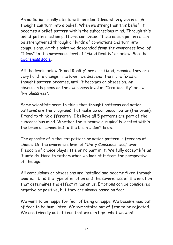An addiction usually starts with an idea. Ideas when given enough thought can turn into a belief. When we strengthen this belief, it becomes a belief pattern within the subconscious mind. Through this belief pattern action patterns can ensue. These action patterns can be strengthened through all kinds of convictions and turn into compulsions. At this point we descended from the awareness level of "Ideas" to the awareness level of "Fixed Reality" or below. See the [awareness scale.](https://vitalinformationsources.com/wp-content/uploads/2020/12/The-Awareness-Scale.pdf)

All the levels below "Fixed Reality" are also fixed, meaning they are very hard to change. The lower we descend, the more fixed a thought pattern becomes, until it becomes an obsession. An obsession happens on the awareness level of "Irrationality" below "Helplessness".

Some scientists seem to think that thought patterns and action patterns are the programs that make up our biocomputer (the brain). I tend to think differently. I believe all 5 patterns are part of the subconscious mind. Whether the subconscious mind is located within the brain or connected to the brain I don't know.

The opposite of a thought pattern or action pattern is freedom of choice. On the awareness level of "Unity Consciousness," even freedom of choice plays little or no part in it. We fully accept life as it unfolds. Hard to fathom when we look at it from the perspective of the ego.

All compulsions or obsessions are installed and become fixed through emotion. It is the type of emotion and the severeness of the emotion that determines the effect it has on us. Emotions can be considered negative or positive, but they are always based on fear.

We want to be happy for fear of being unhappy. We become mad out of fear to be humiliated. We sympathize out of fear to be rejected. We are friendly out of fear that we don't get what we want.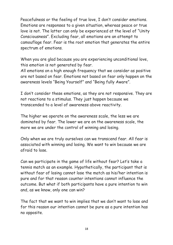Peacefulness or the feeling of true love, I don't consider emotions. Emotions are responses to a given situation, whereas peace or true love is not. The latter can only be experienced at the level of "Unity Consciousness". Excluding fear, all emotions are an attempt to camouflage fear. Fear is the root emotion that generates the entire spectrum of emotions.

When you are glad because you are experiencing unconditional love, this emotion is not generated by fear.

All emotions on a high enough frequency that we consider as positive are not based on fear. Emotions not based on fear only happen on the awareness levels "Being Yourself" and "Being fully Aware".

I don't consider these emotions, as they are not responsive. They are not reactions to a stimulus. They just happen because we transcended to a level of awareness above reactivity.

The higher we operate on the awareness scale, the less we are dominated by fear. The lower we are on the awareness scale, the more we are under the control of winning and losing.

Only when we are truly ourselves can we transcend fear. All fear is associated with winning and losing. We want to win because we are afraid to lose.

Can we participate in the game of life without fear? Let's take a tennis match as an example. Hypothetically, the participant that is without fear of losing cannot lose the match as his/her intention is pure and for that reason counter intentions cannot influence the outcome. But what if both participants have a pure intention to win and, as we know, only one can win?

The fact that we want to win implies that we don't want to lose and for this reason our intention cannot be pure as a pure intention has no opposite.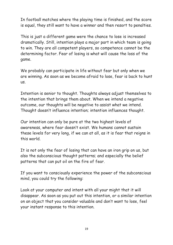In football matches where the playing time is finished, and the score is equal, they still want to have a winner and then resort to penalties.

This is just a different game were the chance to lose is increased dramatically. Still, intention plays a major part in which team is going to win. They are all competent players, so competence cannot be the determining factor. Fear of losing is what will cause the loss of the game.

We probably can participate in life without fear but only when we are winning. As soon as we become afraid to lose, fear is back to hunt us.

Intention is senior to thought. Thoughts always adjust themselves to the intention that brings them about. When we intend a negative outcome, our thoughts will be negative to assist what we intend. Thought doesn't influence intention; intention influences thought.

Our intention can only be pure at the two highest levels of awareness, where fear doesn't exist. We humans cannot sustain these levels for very long, if we can at all, as it is fear that reigns in this world.

It is not only the fear of losing that can have an iron grip on us, but also the subconscious thought patterns; and especially the belief patterns that can put oil on the fire of fear.

If you want to consciously experience the power of the subconscious mind, you could try the following:

Look at your computer and intent with all your might that it will disappear. As soon as you put out this intention, or a similar intention on an object that you consider valuable and don't want to lose, feel your instant response to this intention.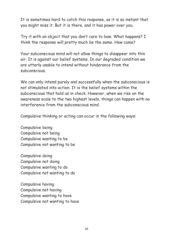It is sometimes hard to catch this response, as it is so instant that you might miss it. But it is there, and it has power over you.

Try it with an object that you don't care to lose. What happens? I think the response will pretty much be the same. How come?

Your subconscious mind will not allow things to disappear into thin air. It is against our belief systems. In our degraded condition we are utterly unable to intend without hinderance from the subconscious.

We can only intend purely and successfully when the subconscious is not stimulated into action. It is the belief systems within the subconscious that hold us in check. However, when we rise on the awareness scale to the two highest levels, things can happen with no interference from the subconscious mind.

Compulsive thinking or acting can occur in the following ways:

Compulsive being Compulsive not being Compulsive wanting to be Compulsive not wanting to be

Compulsive doing Compulsive not doing Compulsive wanting to do Compulsive not wanting to do

Compulsive having Compulsive not having Compulsive wanting to have Compulsive not wanting to have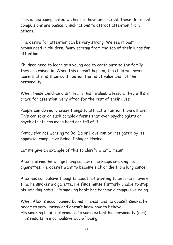This is how complicated we humans have become. All these different compulsions are basically inclinations to attract attention from others.

The desire for attention can be very strong. We see it best pronounced in children. Many scream from the top of their lungs for attention.

Children need to learn at a young age to contribute to the family they are raised in. When this doesn't happen, the child will never learn that it is their contribution that is of value and not their personality.

When these children didn't learn this invaluable lesson, they will still crave for attention, very often for the rest of their lives.

People can do really crazy things to attract attention from others. This can take on such complex forms that even psychologists or psychiatrists can make head nor tail of it.

Compulsive not wanting to Be, Do or Have can be instigated by its opposite, compulsive Being, Doing or Having.

Let me give an example of this to clarify what I mean:

Alex is afraid he will get lung cancer if he keeps smoking his cigarettes. He doesn't want to become sick or die from lung cancer.

Alex has compulsive thoughts about not wanting to become ill every time he smokes a cigarette. He finds himself utterly unable to stop his smoking habit. His smoking habit has become a compulsive doing.

When Alex is accompanied by his friends, and he doesn't smoke, he becomes very uneasy and doesn't know how to behave. His smoking habit determines to some extent his personality (ego). This results in a compulsive way of being.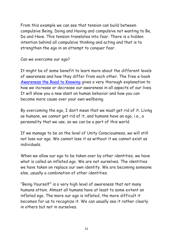From this example we can see that tension can build between compulsive Being, Doing and Having and compulsive not wanting to Be, Do and Have. This tension translates into fear. There is a hidden intention behind all compulsive thinking and acting and that is to strengthen the ego in an attempt to conquer fear.

Can we overcome our ego?

It might be of some benefit to learn more about the different levels of awareness and how they differ from each other. The free e-book [Awareness the Road to Knowing](https://vitalinformationsources.com/wp-content/uploads/2019/07/Awareness-The-Road-To-Knowing.pdf) gives a very thorough explanation to how we increase or decrease our awareness in all aspects of our lives. It will show you a new slant on human behavior and how you can become more cause over your own wellbeing.

By overcoming the ego, I don't mean that we must get rid of it. Living as humans, we cannot get rid of it, and humans have an ego, i.e., a personality that we use, so we can be a part of this world.

If we manage to be on the level of Unity Consciousness, we will still not lose our ego. We cannot lose it as without it we cannot exist as individuals.

When we allow our ego to be taken over by other identities, we have what is called an inflated ego. We are not ourselves. The identities we have taken on replace our own identity. We are becoming someone else, usually a combination of other identities.

"Being Yourself" is a very high level of awareness that not many humans attain. Almost all humans have at least to some extent an inflated ego. The more our ego is inflated, the more difficult it becomes for us to recognize it. We can usually see it rather clearly in others but not in ourselves.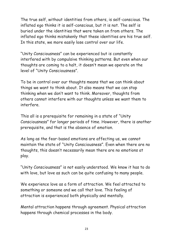The true self, without identities from others, is self-conscious. The inflated ego thinks it is self-conscious, but it is not. The self is buried under the identities that were taken on from others. The inflated ego thinks mistakenly that these identities are his true self. In this state, we more easily lose control over our life.

"Unity Consciousness" can be experienced but is constantly interfered with by compulsive thinking patterns. But even when our thoughts are coming to a halt, it doesn't mean we operate on the level of "Unity Consciousness".

To be in control over our thoughts means that we can think about things we want to think about. It also means that we can stop thinking when we don't want to think. Moreover, thoughts from others cannot interfere with our thoughts unless we want them to interfere.

This all is a prerequisite for remaining in a state of "Unity Consciousness" for longer periods of time. However, there is another prerequisite, and that is the absence of emotion.

As long as the fear-based emotions are affecting us, we cannot maintain the state of "Unity Consciousness". Even when there are no thoughts, this doesn't necessarily mean there are no emotions at play.

"Unity Consciousness" is not easily understood. We know it has to do with love, but love as such can be quite confusing to many people.

We experience love as a form of attraction. We feel attracted to something or someone and we call that love. This feeling of attraction is experienced both physically and mentally.

Mental attraction happens through agreement. Physical attraction happens through chemical processes in the body.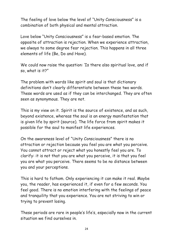The feeling of love below the level of "Unity Consciousness" is a combination of both physical and mental attraction.

Love below "Unity Consciousness" is a fear-based emotion. The opposite of attraction is rejection. When we experience attraction, we always to some degree fear rejection. This happens in all three elements of life (Be, Do and Have).

We could now raise the question: 'Is there also spiritual love, and if so, what is it?"

The problem with words like spirit and soul is that dictionary definitions don't clearly differentiate between these two words. These words are used as if they can be interchanged. They are often seen as synonymous. They are not.

This is my view on it. Spirit is the source of existence, and as such, beyond existence, whereas the soul is an energy manifestation that is given life by spirit (source). The life force from spirit makes it possible for the soul to manifest life experiences.

On the awareness level of "Unity Consciousness" there is no attraction or rejection because you feel you are what you perceive. You cannot attract or reject what you honestly feel you are. To clarify: it is not that you are what you perceive, it is that you feel you are what you perceive. There seems to be no distance between you and your perceptions.

This is hard to fathom. Only experiencing it can make it real. Maybe you, the reader, has experienced it, if even for a few seconds. You feel good. There is no emotion interfering with the feelings of peace and tranquility that you experience. You are not striving to win or trying to prevent losing.

These periods are rare in people's life's, especially now in the current situation we find ourselves in.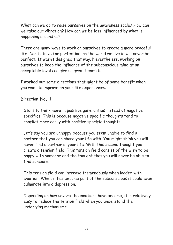What can we do to raise ourselves on the awareness scale? How can we raise our vibration? How can we be less influenced by what is happening around us?

There are many ways to work on ourselves to create a more peaceful life. Don't strive for perfection, as the world we live in will never be perfect. It wasn't designed that way. Nevertheless, working on ourselves to keep the influence of the subconscious mind at an acceptable level can give us great benefits.

I worked out some directions that might be of some benefit when you want to improve on your life experiences:

#### **Direction No. 1**

Start to think more in positive generalities instead of negative specifics. This is because negative specific thoughts tend to conflict more easily with positive specific thoughts.

Let's say you are unhappy because you seem unable to find a partner that you can share your life with. You might think you will never find a partner in your life. With this second thought you create a tension field. This tension field consist of the wish to be happy with someone and the thought that you will never be able to find someone.

This tension field can increase tremendously when loaded with emotion. When it has become part of the subconscious it could even culminate into a depression.

Depending on how severe the emotions have become, it is relatively easy to reduce the tension field when you understand the underlying mechanisms.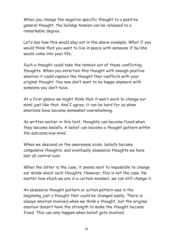When you change the negative specific thought to a positive general thought, the buildup tension can be released to a remarkable degree.

Let's see how this would play out in the above example. What if you would think that you want to live in peace with someone if he/she would come into your life.

Such a thought could take the tension out of these conflicting thoughts. When you entertain this thought with enough positive emotion it could replace the thought that conflicts with your original thought. You now don't want to be happy anymore with someone you don't have.

At a first glance we might think that it won't work to change our mind just like that. And I agree; it can be hard for us when emotions have become somewhat overwhelming.

As written earlier in this text, thoughts can become fixed when they become beliefs. A belief can become a thought pattern within the subconscious mind.

When we descend on the awareness scale, beliefs become compulsive thoughts, and eventually obsessive thoughts we have lost all control over.

When the latter is the case, it seems next to impossible to change our minds about such thoughts. However, this is not the case. No matter how stuck we are in a certain mindset, we can still change it.

An obsessive thought pattern or action pattern was in the beginning just a thought that could be changed easily. There is always emotion involved when we think a thought, but the original emotion doesn't have the strength to make the thought become fixed. This can only happen when belief gets involved.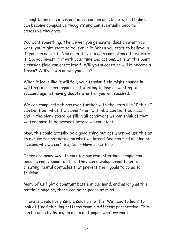Thoughts become ideas and ideas can become beliefs, and beliefs can become compulsive thoughts and can eventually become obsessive thoughts.

You want something. Then, when you generate ideas on what you want, you might start to believe in it. When you start to believe in it, you can act on it. You might have to gain competence to execute it. So, you invest in it with your time and actions. It is at this point a tension field can erect itself. Will you succeed or will it become a fiasco? Will you win or will you lose?

When it looks like it will fail, your tension field might change in wanting to succeed against not wanting to lose or wanting to succeed against having doubts whether you will succeed.

We can complicate things even further with thoughts like "I think I can Do it but what if I cannot"? or "I think I can Do it but ………" and in the blank space we fill in all conditions we can think of that we feel have to be present before we can start.

Now, this could actually be a good thing but not when we use this as an excuse for not acting on what we intend. We can find all kind of reasons why we can't Be, Do or Have something.

There are many ways to counter our own intentions. People can become really smart at this. They can develop a real talent in creating mental obstacles that prevent their goals to come to fruition.

Many of us fight a constant battle in our mind, and as long as this battle is ongoing, there can be no peace of mind.

There is a relatively simple solution to this. We need to learn to look at fixed thinking patterns from a different perspective. This can be done by listing on a piece of paper what we want.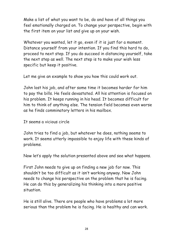Make a list of what you want to be, do and have of all things you feel emotionally charged on. To change your perspective, begin with the first item on your list and give up on your wish.

Whatever you wanted, let it go, even if it is just for a moment. Distance yourself from your intention. If you find this hard to do, proceed to next step. If you do succeed in distancing yourself, take the next step as well. The next step is to make your wish less specific but keep it positive.

Let me give an example to show you how this could work out.

John lost his job, and after some time it becomes harder for him to pay the bills. He feels devastated. All his attention is focused on his problem. It keeps running in his head. It becomes difficult for him to think of anything else. The tension field becomes even worse as he finds comminatory letters in his mailbox.

It seems a vicious circle

John tries to find a job, but whatever he does, nothing seems to work. It seems utterly impossible to enjoy life with these kinds of problems.

Now let's apply the solution presented above and see what happens.

First John needs to give up on finding a new job for now. This shouldn't be too difficult as it isn't working anyway. Now John needs to change his perspective on the problem that he is facing. He can do this by generalizing his thinking into a more positive situation.

He is still alive. There are people who have problems a lot more serious than the problem he is facing. He is healthy and can work.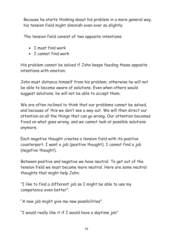Because he starts thinking about his problem in a more general way, his tension field might diminish even ever so slightly.

The tension field consist of two opposite intentions:

- I must find work
- I cannot find work

His problem cannot be solved if John keeps feeding these opposite intentions with emotion.

John must distance himself from his problem; otherwise he will not be able to become aware of solutions. Even when others would suggest solutions, he will not be able to accept them.

We are often inclined to think that our problems cannot be solved, and because of this we don't see a way out. We will then direct our attention on all the things that can go wrong. Our attention becomes fixed on what goes wrong, and we cannot look at possible solutions anymore.

Each negative thought creates a tension field with its positive counterpart. I want a job (positive thought). I cannot find a job (negative thought).

Between positive and negative we have neutral. To get out of the tension field we must become more neutral. Here are some neutral thoughts that might help John:

"I like to find a different job so I might be able to use my competence even better".

"A new job might give me new possibilities".

"I would really like it if I would have a daytime job"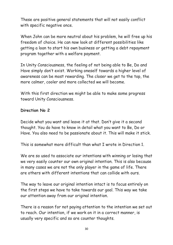These are positive general statements that will not easily conflict with specific negative once.

When John can be more neutral about his problem, he will free up his freedom of choice. He can now look at different possibilities like getting a loan to start his own business or getting a debt repayment program together with a welfare payment.

In Unity Consciousness, the feeling of not being able to Be, Do and Have simply don't exist. Working oneself towards a higher level of awareness can be most rewarding. The closer we get to the top, the more calmer, cooler and more collected we will become.

With this first direction we might be able to make some progress toward Unity Consciousness.

#### **Direction No 2**

Decide what you want and leave it at that. Don't give it a second thought. You do have to know in detail what you want to Be, Do or Have. You also need to be passionate about it. This will make it stick.

This is somewhat more difficult than what I wrote in Direction 1.

We are so used to associate our intentions with winning or losing that we very easily counter our own original intention. This is also because in many cases we are not the only player in the game of life. There are others with different intentions that can collide with ours.

The way to leave our original intention intact is to focus entirely on the first steps we have to take towards our goal. This way we take our attention away from our original intention.

There is a reason for not paying attention to the intention we set out to reach. Our intention, if we work on it in a correct manner, is usually very specific and so are counter thoughts.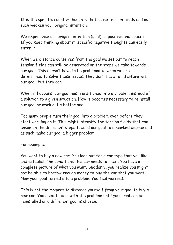It is the specific counter thoughts that cause tension fields and as such weaken your original intention.

We experience our original intention (goal) as positive and specific. If you keep thinking about it, specific negative thoughts can easily enter in.

When we distance ourselves from the goal we set out to reach, tension fields can still be generated on the steps we take towards our goal. This doesn't have to be problematic when we are determined to solve these issues. They don't have to interfere with our goal, but they can.

When it happens, our goal has transitioned into a problem instead of a solution to a given situation. Now it becomes necessary to reinstall our goal or work out a better one.

Too many people turn their goal into a problem even before they start working on it. This might intensify the tension fields that can ensue on the different steps toward our goal to a marked degree and as such make our goal a bigger problem.

#### For example:

You want to buy a new car. You look out for a car type that you like and establish the conditions this car needs to meet. You have a complete picture of what you want. Suddenly, you realize you might not be able to borrow enough money to buy the car that you want. Now your goal turned into a problem. You feel worried.

This is not the moment to distance yourself from your goal to buy a new car. You need to deal with the problem until your goal can be reinstalled or a different goal is chosen.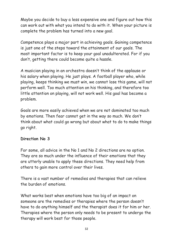Maybe you decide to buy a less expensive one and figure out how this can work out with what you intend to do with it. When your picture is complete the problem has turned into a new goal.

Competence plays a major part in achieving goals. Gaining competence is just one of the steps toward the attainment of our goals. The most important factor is to keep your goal unadulterated. For if you don't, getting there could become quite a hassle.

A musician playing in an orchestra doesn't think of the applause or his salary when playing. He just plays. A football player who, while playing, keeps thinking we must win, we cannot lose this game, will not perform well. Too much attention on his thinking, and therefore too little attention on playing, will not work well. His goal has become a problem.

Goals are more easily achieved when we are not dominated too much by emotions. Then fear cannot get in the way so much. We don't think about what could go wrong but about what to do to make things go right.

#### **Direction No 3**

For some, all advice in the No 1 and No 2 directions are no option. They are so much under the influence of their emotions that they are utterly unable to apply these directions. They need help from others to gain more control over their lives.

There is a vast number of remedies and therapies that can relieve the burden of emotions.

What works best when emotions have too big of an impact on someone are the remedies or therapies where the person doesn't have to do anything himself and the therapist does it for him or her. Therapies where the person only needs to be present to undergo the therapy will work best for those people.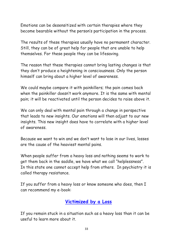Emotions can be desensitized with certain therapies where they become bearable without the person's participation in the process.

The results of these therapies usually have no permanent character. Still, they can be of great help for people that are unable to help themselves. For these people they can be lifesaving.

The reason that these therapies cannot bring lasting changes is that they don't produce a heightening in consciousness. Only the person himself can bring about a higher level of awareness.

We could maybe compare it with painkillers; the pain comes back when the painkiller doesn't work anymore. It is the same with mental pain; it will be reactivated until the person decides to raise above it.

We can only deal with mental pain through a change in perspective that leads to new insights. Our emotions will then adjust to our new insights. This new insight does have to correlate with a higher level of awareness.

Because we want to win and we don't want to lose in our lives, losses are the cause of the heaviest mental pains.

When people suffer from a heavy loss and nothing seems to work to get them back in the saddle, we have what we call "helplessness". In this state one cannot accept help from others. In psychiatry it is called therapy resistance.

If you suffer from a heavy loss or know someone who does, then I can recommend my e-book:

#### **[Victimized by a Loss](https://vitalinformationsources.com/wp-content/uploads/2020/08/Victimized-by-a-Loss-1.pdf)**

If you remain stuck in a situation such as a heavy loss than it can be useful to learn more about it.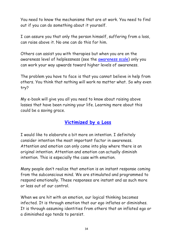You need to know the mechanisms that are at work. You need to find out if you can do something about it yourself.

I can assure you that only the person himself, suffering from a loss, can raise above it. No one can do this for him.

Others can assist you with therapies but when you are on the awareness level of helplessness (see the [awareness scale\)](https://vitalinformationsources.com/wp-content/uploads/2020/12/The-Awareness-Scale.pdf) only you can work your way upwards toward higher levels of awareness.

The problem you have to face is that you cannot believe in help from others. You think that nothing will work no matter what. So why even try?

My e-book will give you all you need to know about raising above losses that have been ruining your life. Learning more about this could be a saving grace.

#### **[Victimized by a Loss](https://vitalinformationsources.com/wp-content/uploads/2020/08/Victimized-by-a-Loss-1.pdf)**

I would like to elaborate a bit more on intention. I definitely consider intention the most important factor in awareness. Attention and emotion can only come into play where there is an original intention. Attention and emotion can actually diminish intention. This is especially the case with emotion.

Many people don't realize that emotion is an instant response coming from the subconscious mind. We are stimulated and programmed to respond emotionally. These responses are instant and as such more or less out of our control.

When we are hit with an emotion, our logical thinking becomes infected. It is through emotion that our ego inflates or diminishes. It is through assuming identities from others that an inflated ego or a diminished ego tends to persist.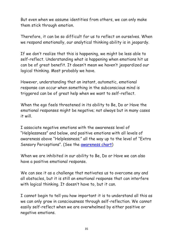But even when we assume identities from others, we can only make them stick through emotion.

Therefore, it can be so difficult for us to reflect on ourselves. When we respond emotionally, our analytical thinking ability is in jeopardy.

If we don't realize that this is happening, we might be less able to self-reflect. Understanding what is happening when emotions hit us can be of great benefit. It doesn't mean we haven't jeopardized our logical thinking. Most probably we have.

However, understanding that an instant, automatic, emotional response can occur when something in the subconscious mind is triggered can be of great help when we want to self-reflect.

When the ego feels threatened in its ability to Be, Do or Have the emotional responses might be negative; not always but in many cases it will.

I associate negative emotions with the awareness level of "Helplessness" and below, and positive emotions with all levels of awareness above "Helplessness;" all the way up to the level of "Extra Sensory Perceptions". (See the [awareness chart\)](https://vitalinformationsources.com/wp-content/uploads/2020/12/The-Awareness-Scale.pdf)

When we are inhibited in our ability to Be, Do or Have we can also have a positive emotional response.

We can see it as a challenge that motivates us to overcome any and all obstacles, but it is still an emotional response that can interfere with logical thinking. It doesn't have to, but it can.

I cannot begin to tell you how important it is to understand all this as we can only grow in consciousness through self-reflection. We cannot easily self-reflect when we are overwhelmed by either positive or negative emotions.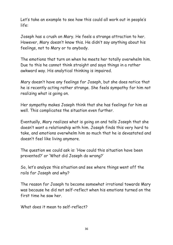Let's take an example to see how this could all work out in people's life:

Joseph has a crush on Mary. He feels a strange attraction to her. However, Mary doesn't know this. He didn't say anything about his feelings, not to Mary or to anybody.

The emotions that turn on when he meets her totally overwhelm him. Due to this he cannot think straight and says things in a rather awkward way. His analytical thinking is impaired.

Mary doesn't have any feelings for Joseph, but she does notice that he is recently acting rather strange. She feels sympathy for him not realizing what is going on.

Her sympathy makes Joseph think that she has feelings for him as well. This complicates the situation even further.

Eventually, Mary realizes what is going on and tells Joseph that she doesn't want a relationship with him. Joseph finds this very hard to take, and emotions overwhelm him so much that he is devastated and doesn't feel like living anymore.

The question we could ask is: 'How could this situation have been prevented?' or 'What did Joseph do wrong?'

So, let's analyze this situation and see where things went off the rails for Joseph and why?

The reason for Joseph to become somewhat irrational towards Mary was because he did not self-reflect when his emotions turned on the first time he saw her.

What does it mean to self-reflect?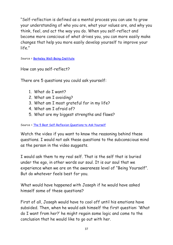"Self-reflection is defined as a mental process you can use to grow your understanding of who you are, what your values are, and why you think, feel, and act the way you do. When you self-reflect and become more conscious of what drives you, you can more easily make changes that help you more easily develop yourself to improve your life."

Source = [Berkeley Well-Being-Institute](https://www.berkeleywellbeing.com/what-is-self-reflection.html)

How can you self-reflect?

There are 5 questions you could ask yourself:

- 1. What do I want?
- 2. What am I avoiding?
- 3. What am I most grateful for in my life?
- 4. What am I afraid of?
- 5. What are my biggest strengths and flaws?

#### Source = [The 5 Best Self-Reflexion Questions to Ask Yourself](https://youtu.be/d0AUWCADWmk)

Watch the video if you want to know the reasoning behind these questions. I would not ask these questions to the subconscious mind as the person in the video suggests.

I would ask them to my real self. That is the self that is buried under the ego, in other words our soul. It is our soul that we experience when we are on the awareness level of "Being Yourself". But do whatever feels best for you.

What would have happened with Joseph if he would have asked himself some of these questions?

First of all, Joseph would have to cool off until his emotions have subsided. Then, when he would ask himself the first question: 'What do I want from her?' he might regain some logic and come to the conclusion that he would like to go out with her.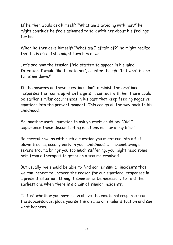If he then would ask himself: "What am I avoiding with her?" he might conclude he feels ashamed to talk with her about his feelings for her.

When he then asks himself: "What am I afraid of?" he might realize that he is afraid she might turn him down.

Let's see how the tension field started to appear in his mind. Intention 'I would like to date her', counter thought 'but what if she turns me down?'

If the answers on these questions don't diminish the emotional responses that came up when he gets in contact with her there could be earlier similar occurrences in his past that keep feeding negative emotions into the present moment. This can go all the way back to his childhood.

So, another useful question to ask yourself could be: "Did I experience these discomforting emotions earlier in my life?"

Be careful now, as with such a question you might run into a fullblown trauma, usually early in your childhood. If remembering a severe trauma brings you too much suffering, you might need some help from a therapist to get such a trauma resolved.

But usually, we should be able to find earlier similar incidents that we can inspect to uncover the reason for our emotional responses in a present situation. It might sometimes be necessary to find the earliest one when there is a chain of similar incidents.

To test whether you have risen above the emotional response from the subconscious, place yourself in a same or similar situation and see what happens.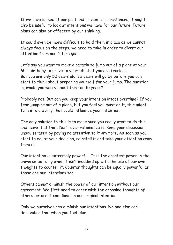If we have looked at our past and present circumstances, it might also be useful to look at intentions we have for our future. Future plans can also be affected by our thinking.

It could even be more difficult to hold them in place as we cannot always focus on the steps, we need to take in order to divert our attention from our future goal.

Let's say you want to make a parachute jump out of a plane at your 65th birthday to prove to yourself that you are fearless. But you are only 50 years old. 15 years will go by before you can start to think about preparing yourself for your jump. The question is, would you worry about this for 15 years?

Probably not. But can you keep your intention intact overtime? If you fear jumping out of a plane, but you feel you must do it, this might turn into a worry that could influence your intention.

The only solution to this is to make sure you really want to do this and leave it at that. Don't over rationalize it. Keep your discission unadulterated by paying no attention to it anymore. As soon as you start to doubt your decision, reinstall it and take your attention away from it.

Our intention is extremely powerful. It is the greatest power in the universe but only when it isn't muddied up with the use of our own thoughts to counter it. Counter thoughts can be equally powerful as those are our intentions too.

Others cannot diminish the power of our intention without our agreement. We first need to agree with the opposing thoughts of others before it can diminish our original intention.

Only we ourselves can diminish our intentions. No one else can. Remember that when you feel blue.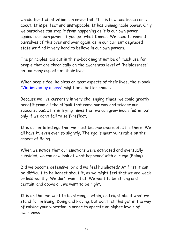Unadulterated intention can never fail. This is how existence came about. It is perfect and unstoppable. It has unimaginable power. Only we ourselves can stop it from happening as it is our own power against our own power, if you get what I mean. We need to remind ourselves of this over and over again, as in our current degraded state we find it very hard to believe in our own powers.

The principles laid out in this e-book might not be of much use for people that are chronically on the awareness level of "helplessness" on too many aspects of their lives.

When people feel helpless on most aspects of their lives, the e-book "[Victimized by a Loss](https://vitalinformationsources.com/wp-content/uploads/2020/08/Victimized-by-a-Loss-1.pdf)" might be a better choice.

Because we live currently in very challenging times, we could greatly benefit from all the stimuli that come our way and trigger our subconscious. It is in trying times that we can grow much faster but only if we don't fail to self-reflect.

It is our inflated ego that we must become aware of. It is there! We all have it, even ever so slightly. The ego is most vulnerable on the aspect of Being.

When we notice that our emotions were activated and eventually subsided, we can now look at what happened with our ego (Being).

Did we become defensive, or did we feel humiliated? At first it can be difficult to be honest about it, as we might feel that we are weak or less worthy. We don't want that. We want to be strong and certain, and above all, we want to be right.

It is ok that we want to be strong, certain, and right about what we stand for in Being, Doing and Having, but don't let this get in the way of raising your vibration in order to operate on higher levels of awareness.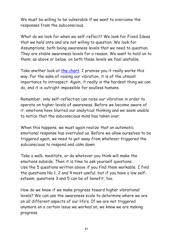We must be willing to be vulnerable if we want to overcome the responses from the subconscious.

What do we look for when we self-reflect? We look for Fixed Ideas that we hold onto and are not willing to question. We look for Assumptions; both being awareness levels that we need to question. They are stable awareness levels for a reason. We want to hold on to them; as above or below, on both these levels we feel unstable.

Take another look at [the chart.](https://vitalinformationsources.com/wp-content/uploads/2020/12/The-Awareness-Scale.pdf) I promise you it really works this way. For the sake of raising our vibration, it is of the utmost importance to introspect. Again, it really is the hardest thing we can do, and it is outright impossible for soulless humans.

Remember, only self-reflection can raise our vibration in order to operate on higher levels of awareness. Before we become aware of it, emotions have blurred our analytical thinking and we seem unable to notice that the subconscious mind has taken over.

When this happens, we must again realize that an automatic emotional response has overruled us. Before we allow ourselves to be triggered again, we need to get away from whatever triggered the subconscious to respond and calm down.

Take a walk, meditate, or do whatever you think will make the emotions subside. Then it is time to ask yourself questions. Use the 5 questions written above if you find them workable. I find the questions No 1, 2 and 4 most useful, but if you have a low selfesteem, questions 3 and 5 can be of benefit, too.

How do we know if we make progress toward higher vibrational levels? We can use the awareness scale to determine where we are on all different aspects of our life's. If we are not triggered anymore on a certain issue we worked on, we know we are making progress.